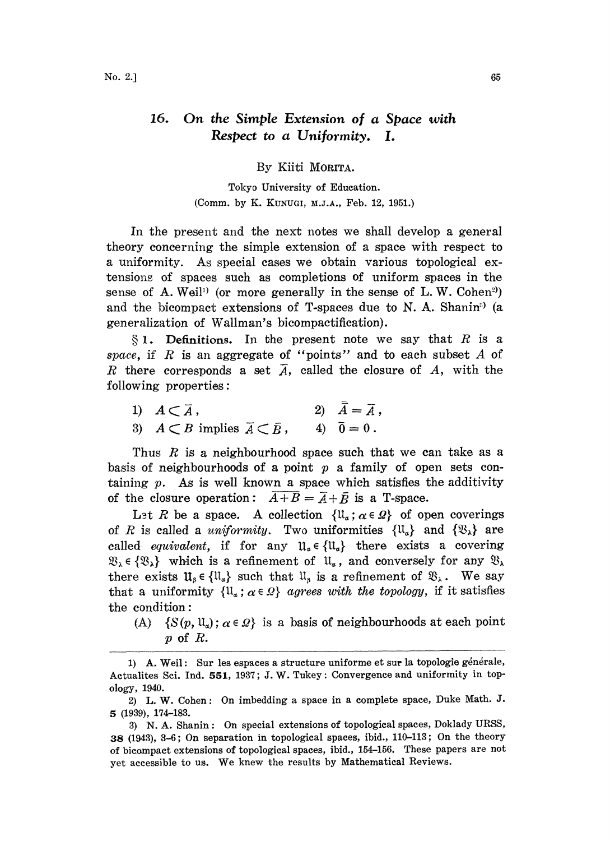## 16. On the Simple Extension of a Space with Respect to a Uniformity. I.

By Kiiti MORITA.

Tokyo University of Education. (Comm. by K. KUNUGI, M.J.A., Feb. 12, 1951.)

In the present and the next notes we shall develop a general theory conceraing the simple exteasion of <sup>a</sup> space wih respect to a uniformity. As special cases we obtain various topological extensions of spaces such as completions of uniform spaces in the sense of A. Weil<sup>11</sup> (or more generally in the sense of L. W. Cohen<sup>2</sup>) and the bicompact extensions of T-spaces due to N. A. Shanin<sup>9</sup>) (a generalization of Wallma's bicompactification).

 $§ 1.$  Definitions. In the present note we say that R is a space, if R is an aggregate of "points" and to each subset  $A$  of R there corresponds a set  $\overline{A}$ , called the closure of A, with the following properties:

1)  $A \subset \overline{A}$ , <br>
2)  $\overline{\overline{A}} = \overline{A}$ ,<br>
3)  $A \subset B$  implies  $\overline{A} \subset \overline{B}$ , <br>
4)  $\overline{0} = 0$ . 3)  $A \subset B$  implies  $\overline{A} \subset \overline{B}$ ,

Thus  $R$  is a neighbourhood space such that we can take as a basis of neighbourhoods of a point  $p$  a family of open sets containing  $p$ . As is well known a space which satisfies the additivity of the closure operation:  $\overline{A+B} = \overline{A} + \overline{B}$  is a T-space.

Let R be a space. A collection  $\{\mathfrak{u}_{\alpha}; \alpha \in \Omega\}$  of open coverings of R is called a *uniformity*. Two uniformities  $\{ll_a\}$  and  $\{\mathfrak{B}_\lambda\}$  are called *equivalent*, if for any  $\mathfrak{u}_{\alpha} \in {\mathfrak{u}_{\alpha}}$  there exists a covering  $\mathfrak{B}_{\lambda} \in {\mathfrak{B}_{\lambda}}$  which is a refinement of  $\mathfrak{U}_{\alpha}$ , and conversely for any  $\mathfrak{B}_{\lambda}$ there exists  $\mathfrak{U}_s \in \{ \mathfrak{U}_\alpha \}$  such that  $\mathfrak{U}_s$  is a refinement of  $\mathfrak{B}_\lambda$ . We say that a uniformity  $\{ll_a$ ;  $\alpha \in \Omega\}$  agrees with the topology, if it satisfies the condition:

(A)  $\{S(p, \mathfrak{U}_\alpha) \, ; \, \alpha \in \Omega\}$  is a basis of neighbourhoods at each point p of  $R$ .

<sup>1)</sup> A. Weil: Sur les espaces a structure uniforme et sur la topologie générale, Actualites Sci. Ind. 551, 1937; J. W. Tukey: Convergence and uniformity in topology, 1940.

<sup>2)</sup> L.W. Cohen: On imbedding a space in a complete space, Duke Math. J. 5 (1939), 174-183.

<sup>3)</sup> N.A. Shanin: On special extensions of topological spaces, Doklady URSS, 38 (1943), 3-6; On separation in topological spaces, ibid., 110-113; On the theory of bicampact extensions of topological spaces, ibid., 154-156. These papers are not yet accessible to us. We knew the results by Mathematical Reviews.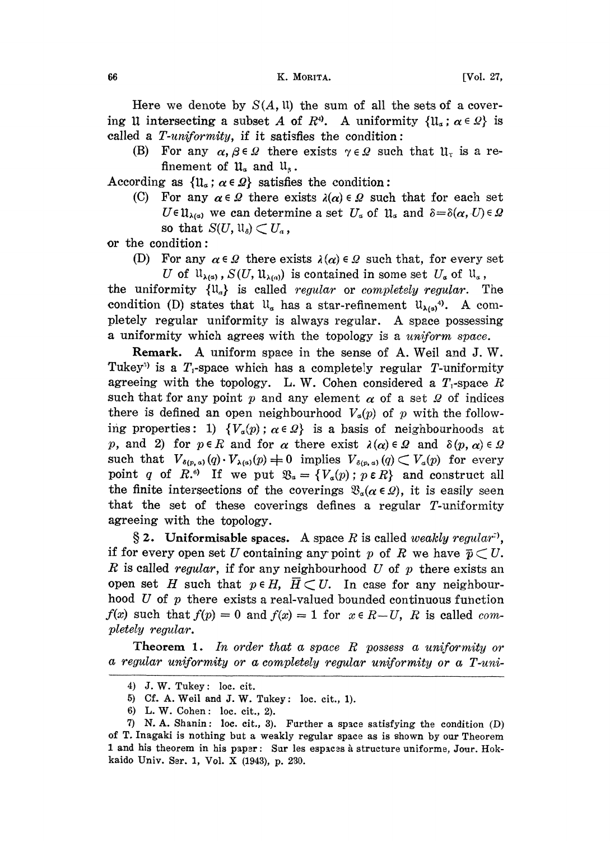## 66 K. MORITA. (Vol. 27,

Here we denote by  $S(A, \mathfrak{u})$  the sum of all the sets of a covering 11 intersecting a subset A of  $R^4$ . A uniformity  $\{1\mathfrak{l}_\alpha : \alpha \in \Omega\}$  is called a  $T\text{-}uniformity$ , if it satisfies the condition:

(B) For any  $\alpha, \beta \in \Omega$  there exists  $\gamma \in \Omega$  such that  $\mathfrak{U}_r$  is a refinement of  $\mathfrak{u}_\alpha$  and  $\mathfrak{u}_\beta$ .

According as  $\{u_\alpha : \alpha \in \Omega\}$  satisfies the condition:

(C) For any  $\alpha \in \Omega$  there exists  $\lambda(\alpha) \in \Omega$  such that for each set  $U \in \mathfrak{U}_{\lambda(a)}$  we can determine a set  $U_a$  of  $\mathfrak{U}_a$  and  $\delta = \delta(\alpha, U) \in \Omega$ so that  $S(U, \mathfrak{U}_{\delta}) \subset U_{\alpha}$ ,

or the condition:

(D) For any  $\alpha \in \Omega$  there exists  $\lambda(\alpha) \in \Omega$  such that, for every set

U of  $\mathfrak{U}_{\lambda(\alpha)}$ ,  $S(U, \mathfrak{U}_{\lambda(\alpha)})$  is contained in some set  $U_{\alpha}$  of  $\mathfrak{U}_{\alpha}$ , the uniformity  $\{\mathfrak{u}_a\}$  is called *regular* or *completely regular*. The condition (D) states that  $\mathfrak{u}_\alpha$  has a star-refinement  $\mathfrak{u}_{\lambda(\alpha)}$ <sup>4</sup>. A completely regular uniformity is always regular. A space possessing a uniformity which agrees with the topology is a uniform space.

Remark. A uniform space in the sense of A. Weil and J.W. Tukey<sup>3</sup> is a  $T_1$ -space which has a completely regular T-uniformity agreeing with the topology. L.W. Cohen considered a  $T_1$ -space R such that for any point p and any element  $\alpha$  of a set  $\Omega$  of indices there is defined an open neighbourhood  $V_a(p)$  of p with the following properties: 1)  ${V_a(p) : \alpha \in \Omega}$  is a basis of neighbourhoods at p, and 2) for  $p \in R$  and for  $\alpha$  there exist  $\lambda(\alpha) \in \Omega$  and  $\delta(p, \alpha) \in \Omega$ such that  $V_{\delta(p,a)}(q) \cdot V_{\lambda(a)}(p) \neq 0$  implies  $V_{\delta(p,a)}(q) \subset V_a(p)$  for every point q of R.<sup>6</sup>) If we put  $\mathfrak{B}_s = \{V_a(p) : p \in R\}$  and construct all the finite intersections of the coverings  $\mathfrak{B}_{\alpha}(\alpha \in \mathcal{Q})$ , it is easily seen that the set of these coverings defines a regular T-uniformity agreeing with the topology.

§ 2. Uniformisable spaces. A space R is called weakly regular<sup>:</sup>), if for every open set U containing any point p of R we have  $\bar p \subset U$ . R is called regular, if for any neighbourhood U of p there exists an open set H such that  $p \in H$ ,  $\overline{H} \subset U$ . In case for any neighbourhood U of  $p$  there exists a real-valued bounded continuous function  $f(x)$  such that  $f(p) = 0$  and  $f(x) = 1$  for  $x \in R-U$ , R is called completely regular.

Theorem 1. In order that a space  $R$  possess a uniformity or a regular uniformity or a completely regular uniformity or a T-uni-

<sup>4)</sup> J.w. Tukey: loe. cit.

<sup>5)</sup> Cf. A. Well and J. W. Tukey: loc. cit., 1).

<sup>6)</sup> L.W. Cohen: loc. cit., 2).

<sup>7)</sup> N. A. Shanin: loc. cit., 3). Further a space satisfying the condition  $(D)$ of T. Inagaki is nothing but a weakly regular space as is shown by our Theorem 1 and his theorem in his paper: Sur les espaces à structure uniforme, Jour. Hokkaido Univ. Ser. 1, Vol. X (1943), p. 230.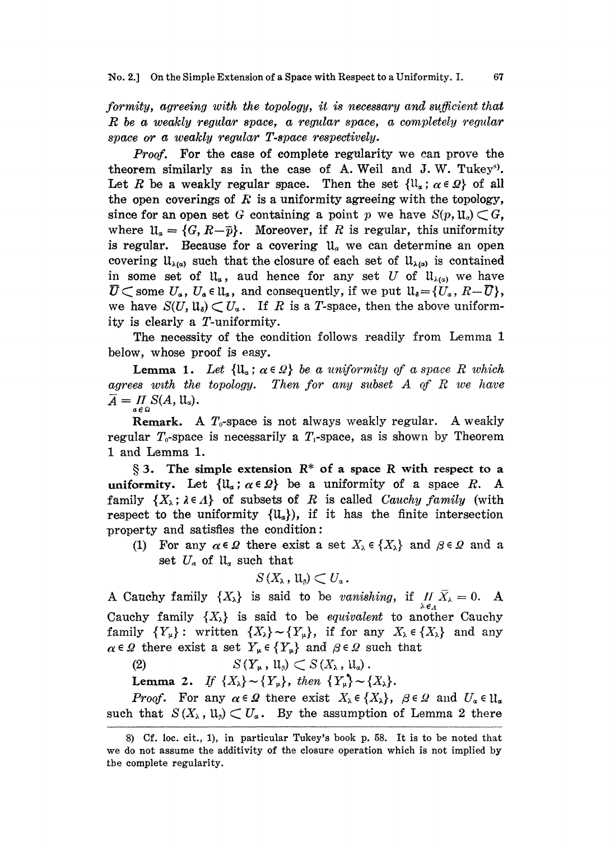formity, agreeing with the topology, it is necessary and sufficient that R be <sup>a</sup> weakly regular space, a regular space, <sup>a</sup> completely 'egular space or a weakly regular T-space respectively.

Proof. For the case of complete regularity we can prove the theorem similarly as in the case of A. Weil and J.W. Tukey<sup>s</sup>.<br>Let R be a weakly regular space. Then the set  $\{\mathfrak{ll}_{\alpha}; \alpha \in \Omega\}$  of all the open coverings of  $F$  is a uniformity agreeing with the topology, since for an open set G containing a point p we have  $S(p, \mathfrak{U}_q) \subset G$ , where  $\mathfrak{U}_a=\{G, R-\bar{p}\}.$  Moreover, if R is regular, this uniformity is regular. Because for a covering  $u_a$  we can determine an open covering  $\mathfrak{U}_{\lambda(\alpha)}$  such that the closure of each set of  $\mathfrak{U}_{\lambda(\alpha)}$  is contained in some set of  $\mathfrak{u}_\alpha$ , aud hence for any set U of  $\mathfrak{u}_{\lambda(\alpha)}$  we have  $\overline{U} \subset$  some  $U_{\alpha}$ ,  $U_{\alpha} \in \mathfrak{U}_{\alpha}$ , and consequently, if we put  $\mathfrak{U}_{\delta} = \{U_{\alpha}, R-\overline{U}\},$ we have  $S(U, \mathfrak{u}_s) \subset U_\alpha$ . If R is a T-space, then the above uniformity is clearly a T-uniformity.

The necessity of the condition follows readily from Lemma 1 below, whose proof is easy.

**Lemma 1.** Let  $\{u_\alpha : \alpha \in \Omega\}$  be a uniformity of a space R which  $\overline{A} = \prod_{\alpha} S(A, \mathfrak{u}_{\alpha}).$ agrees with the topology. Then for any subset  $A$  of  $R$  we have

**Remark.** A  $T_0$ -space is not always weakly regular. A weakly regular  $T_0$ -space is necessarily a  $T_1$ -space, as is shown by Theorem <sup>1</sup> and Lemma 1.

 $\S$  3. The simple extension  $R^*$  of a space R with respect to a uniformity. Let  $\{ll_a: a \in \Omega\}$  be a uniformity of a space R. A family  $\{X_\lambda : \lambda \in \Lambda\}$  of subsets of R is called Cauchy family (with respect to the uniformity  $\{\mathfrak{U}_a\}$ , if it has the finite intersection property and satisfies the condition:

(1) For any  $\alpha \in \Omega$  there exist a set  $X_{\lambda} \in \{X_{\lambda}\}\$  and  $\beta \in \Omega$  and a set  $U_a$  of  $\mathfrak{u}_a$  such that

$$
S\left(X_{\lambda}\,,\, \mathfrak{U}_{\beta}\right)\subset U_{\alpha}\,.
$$

A Cauchy family  $\{X_{\lambda}\}\$ is said to be vanishing, if  $\prod_{\lambda \in A} \overline{X}_{\lambda} = 0$ . A Cauchy family  $\{X_{\lambda}\}\$ is said to be *equivalent* to another Cauchy family  $\{Y_{\mu}\}\colon$  written  $\{X_{\lambda}\}\sim \{Y_{\mu}\}\$ , if for any  $X_{\lambda}\in \{X_{\lambda}\}\$  and any  $\alpha \in \Omega$  there exist a set  $Y_{\mu} \in \{Y_{\mu}\}\$  and  $\beta \in \Omega$  such that

(2)  $S(Y_\mu, \mathfrak{u}_\beta) \subset S(X_\lambda, \mathfrak{u}_\alpha).$ 

Lemma 2. If  $\{X_{\lambda}\}\sim \{Y_{\mu}\}\$ , then  $\{Y_{\mu}\}\sim \{X_{\lambda}\}\$ .

*Proof.* For any  $\alpha \in \Omega$  there exist  $X_{\lambda} \in \{X_{\lambda}\}\text{, } \beta \in \Omega$  and  $U_{\alpha} \in \mathfrak{U}_{\alpha}$ such that  $S(X_\lambda, \mathfrak{u}_s) \subset U_\alpha$ . By the assumption of Lemma 2 there

<sup>8)</sup> Cf. loc. cit., 1), in particular Tukey's book p. 58. It is to be noted that we do not assume the additivity of the closure operation which is not implied by the complete regularity.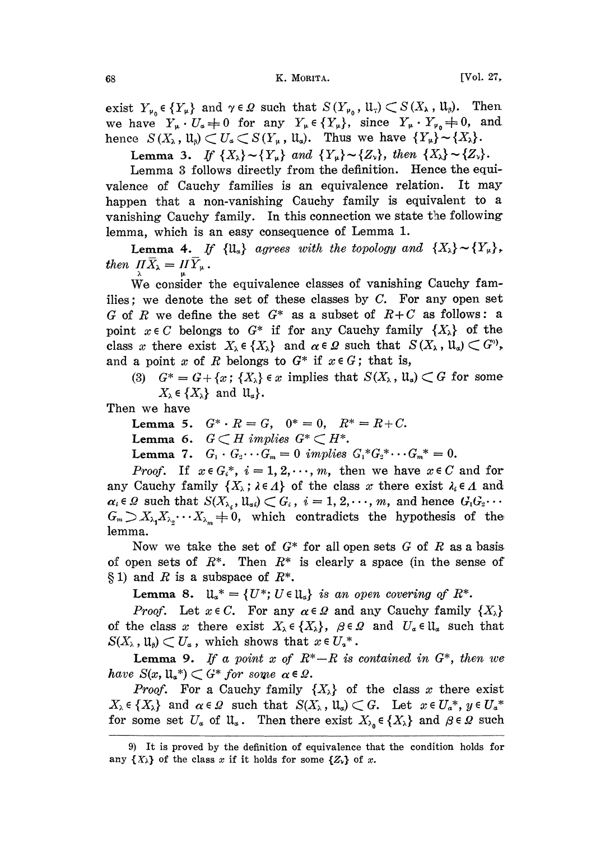exist  $Y_{\nu_0} \in \{Y_{\nu}\}\$  and  $\gamma \in \Omega$  such that  $S(Y_{\nu_0}, \mathfrak{U}_{\tau}) \subset S(X_{\lambda}, \mathfrak{U}_{\beta})$ . Then we have  $Y_{\mu} \cdot U_{\alpha} \neq 0$  for any  $Y_{\mu} \in \{Y_{\mu}\}\$ , since  $Y_{\mu} \cdot Y_{\nu} \neq 0$ , and hence  $S(X_{\lambda}, \mathfrak{u}_{\beta}) \subset U_{\alpha} \subset S(Y_{\mu}, \mathfrak{u}_{\alpha})$ . Thus we have  ${Y_{\mu}} {\sim} {X_{\lambda}}.$ 

Lemma 3. If  $\{X_{\lambda}\}\sim \{Y_{\mu}\}\$  and  $\{Y_{\mu}\}\sim \{Z_{\nu}\}\$ , then  $\{X_{\lambda}\}\sim \{Z_{\nu}\}\$ .

Lemma <sup>3</sup> follows directly from the definition. Hence the equivalence of Cauchy families is an equivalence relation. It may happen that a non-vanishing Cauchy family is equivalent to a vanishing Cauchy family. In this connection we state the following lemma, which is an easy consequence of Lemma 1.

**Lemma 4.** If  $\{\mathfrak{U}_\alpha\}$  agrees with the topology and  $\{X_\lambda\} \sim \{Y_\mu\}$ , then  $\Pi \overline{X}_{\lambda} = H \overline{Y}_{\mu}$ .

We consider the equivalence classes of vanishing Cauchy families; we denote the set of these classes by  $C$ . For any open set G of R we define the set  $G^*$  as a subset of  $R+C$  as follows: a point  $x \in C$  belongs to  $G^*$  if for any Cauchy family  $\{X_\lambda\}$  of the class x there exist  $X_{\lambda} \in \{X_{\lambda}\}\$  and  $\alpha \in \Omega$  such that  $S(X_{\lambda}, \mathfrak{U}_{\alpha}) \subset G^{\circ}$ , and a point x of R belongs to  $G^*$  if  $x \in G$ ; that is,

(3)  $G^* = G + \{x : \{X_\lambda\} \in x \text{ implies that } S(X_\lambda, \mathfrak{U}_\alpha) \subset G \text{ for some }$  $X_{\lambda} \in \{X_{\lambda}\}\$ and  $\mathfrak{U}_{\alpha}\}.$ 

Then we have

Lemma 5.  $G^* \cdot R = G$ ,  $0^* = 0$ ,  $R^* = R + C$ .

Lemma 6.  $G \subset H$  implies  $G^* \subset H^*$ .

Lemma 7.  $G_1 \cdot G_2 \cdots G_m = 0$  implies  $G_1^* G_2^* \cdots G_m^* = 0$ .

*Proof.* If  $x \in G_i^*$ ,  $i = 1, 2, \dots, m$ , then we have  $x \in C$  and for any Cauchy family  $\{X_\lambda : \lambda \in \Lambda\}$  of the class x there exist  $\lambda_i \in \Lambda$  and  $\alpha_i \in \Omega$  such that  $S(X_{\lambda_i}, \mathfrak{u}_{\alpha_i}) \subset G_i$ ,  $i = 1, 2, \dots, m$ , and hence  $G_1 G_2 \cdots$  $G_m \supset X_{\lambda_1} X_{\lambda_2} \cdots X_{\lambda_m} = 0$ , which contradicts the hypothesis of the lemma.

Now we take the set of  $G^*$  for all open sets G of R as a basis. of open sets of  $R^*$ . Then  $R^*$  is clearly a space (in the sense of  $\S 1$ ) and R is a subspace of  $R^*$ .

Lemma 8.  $\mathfrak{u}_{\alpha}^* = \{U^*; U \in \mathfrak{u}_{\alpha}\}\$ is an open covering of  $R^*$ .

*Proof.* Let  $x \in C$ . For any  $\alpha \in \Omega$  and any Cauchy family  $\{X_{\lambda}\}\$ of the class x there exist  $X_{\lambda} \in \{X_{\lambda}\}\,$ ,  $\beta \in \Omega$  and  $U_{\alpha} \in \mathfrak{U}_{\alpha}$  such that  $S(X_\lambda, \mathfrak{U}_\beta) \subset U_\alpha$ , which shows that  $x \in U_\alpha^*$ .

**Lemma 9.** If a point x of  $R^*-R$  is contained in  $G^*$ , then we have  $S(x, \mathfrak{u}_{\alpha}^*) \subset G^*$  for some  $\alpha \in \Omega$ .

*Proof.* For a Cauchy family  $\{X_{\lambda}\}\$  of the class x there exist  $X_{\lambda} \in \{X_{\lambda}\}\$ and  $\alpha \in \Omega$  such that  $S(X_{\lambda}, \mathfrak{U}_{\alpha}) \subset G$ . Let  $x \in U_{\alpha}^*$ ,  $y \in U_{\alpha}^*$ for some set  $U_{\alpha}$  of  $\mathfrak{U}_{\alpha}$ . Then there exist  $X_{\lambda_{\alpha}} \in \{X_{\lambda}\}\$  and  $\beta \in \Omega$  such

<sup>9)</sup> It is proved by the definition of equivalence that the condition holds for any  $\{X_{\lambda}\}\$  of the class x if it holds for some  $\{Z_{\lambda}\}\$  of x.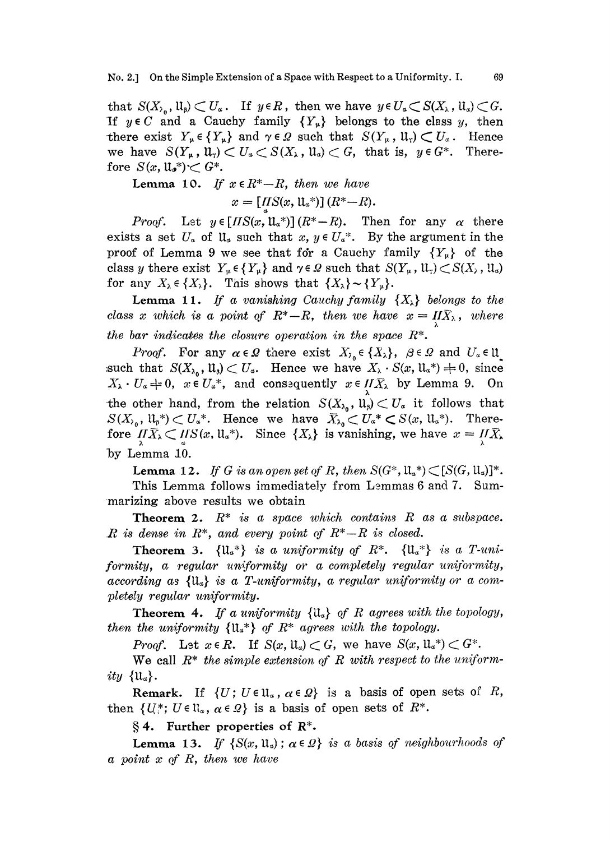that  $S(X_{\lambda_0}, \mathfrak{u}_0) \subset U_a$ . If  $y \in R$ , then we have  $y \in U_a \subset S(X_{\lambda_0}, \mathfrak{u}_a) \subset G$ . If  $y \in C$  and a Cauchy family  ${Y_{\mu}}$  belongs to the class y, then there exist  $Y_{\mu} \in \{Y_{\mu}\}\$  and  $\gamma \in \Omega$  such that  $S(Y_{\mu}, \mathfrak{U}_{\tau}) \subset U_{\alpha}$ . Hence we have  $S(Y_\mu, \mathfrak{U}_\tau) \subset U_\alpha \subset S(X_\lambda, \mathfrak{U}_\alpha) \subset G$ , that is,  $y \in G^*$ . Therefore  $S(x, \mathfrak{u}_{\bullet}^*) \subset G^*$ .

**Lemma 10.** If  $x \in R^* - R$ , then we have

 $x = \left[ \underset{a}{I\hspace{-0.1cm}I} S(x, \mathbf{u}_{\circ}*) \right] (R^*{-}R).$ 

*Proof.* Let  $y \in [HS(x, \mathbb{u}_a^*)](R^*-R)$ . Then for any  $\alpha$  there exists a set  $U_a$  of  $\mathfrak{u}_a$  such that  $x, y \in U_a^*$ . By the argument in the proof of Lemma 9 we see that for a Cauchy family  ${Y_{\mu}}$  of the class y there exist  $Y_{\mu} \in {Y_{\mu}}$  and  $\gamma \in \Omega$  such that  $S(Y_{\mu}, \mathfrak{U}_{\tau}) \subset S(X_{\lambda}, \mathfrak{U}_{\alpha})$ for any  $X_{\lambda} \in \{X_{\lambda}\}\$ . This shows that  $\{X_{\lambda}\}\sim \{Y_{\mu}\}\$ .

**Lemma 11.** If a vanishing Cauchy family  $\{X_{\lambda}\}\$  belongs to the class x which is a point of  $R^*$ -R, then we have  $x = I\!\!\,I\!\!\,X_\lambda$ , where the bar indicates the closure operation in the space  $R^*$ .

*Proof.* For any  $\alpha \in \Omega$  there exist  $X_{\alpha} \in \{X_{\alpha}\}\text{, } \beta \in \Omega$  and  $U_{\alpha} \in \mathfrak{U}$ . such that  $S(X_{\lambda_0}, \mathfrak{u}_s) \subset U_\alpha$ . Hence we have  $X_\lambda \cdot S(x, \mathfrak{u}_\alpha^*) \neq 0$ , since  $X_{\lambda} \cdot U_{\alpha} = 0$ ,  $x \in U_{\alpha}^*$ , and consequently  $x \in H\overline{X}_{\lambda}$  by Lemma 9. On the other hand, from the relation  $S(X_{\lambda_0}, \mathfrak{u}_{\beta}) \subset U_{\alpha}$  it follows that  $S(X_{\lambda_0}, \mathfrak{u}_{\beta}^*) \subset U_{\alpha}^*$ . Hence we have  $\overline{X}_{\lambda_0} \subset U_{\alpha}^* \subset S(x, \mathfrak{u}_{\alpha}^*)$ . There-<br>fore  $\overline{I} \overline{X}_{\lambda} \subset \overline{I} \overline{S}(x, \mathfrak{u}_{\alpha}^*)$ . Since  $\{X_{\lambda}\}$  is vanishing, we have  $x = \overline{I} \overline{X}_{\lambda}$ by Lemma 10.

**Lemma 12.** If G is an open set of R, then  $S(G^*, \mathfrak{U}_a^*) \subset [S(G, \mathfrak{U}_a)]^*$ . This Lemma follows immediately from Lemmas 6 and 7. Summarizing above results we obtain

**Theorem 2.**  $R^*$  is a space which contains R as a subspace.  $R$  is dense in  $R^*$ , and every point of  $R^*$ - $R$  is closed.

Theorem 3.  $\{U_{\alpha}^*\}$  is a uniformity of  $R^*$ .  $\{U_{\alpha}^*\}$  is a T-uniformity, a regular uniformity or a completely regular uniformity, according as  ${u_{\alpha}}$  is a T-uniformity, a regular uniformity or a completely regular uniformity.

**Theorem 4.** If a uniformity  $\{\mathfrak{U}_a\}$  of R agrees with the topology, then the uniformity  $\{u^*\}\;$  of  $R^*$  agrees with the topology.

*Proof.* Let  $x \in R$ . If  $S(x, \mathfrak{U}_x) \subset G$ , we have  $S(x, \mathfrak{U}_x^*) \subset G^*$ .

We call  $R^*$  the simple extension of R with respect to the uniformity  $\{u_{\alpha}\}.$ <br>Remark. If  $\{U: U \in \mathfrak{U}_{\alpha}, \alpha \in \Omega\}$  is a basis of open sets of R,

then  $\{U^* : U \in \mathfrak{U}_\alpha, \alpha \in \Omega\}$  is a basis of open sets of  $R^*$ .

 $§ 4.$  Further properties of  $R^*$ .

**Lemma 13.** If  $\{S(x, u_{\alpha}) : \alpha \in \Omega\}$  is a basis of neighbourhoods of a point  $x$  of  $R$ , then we have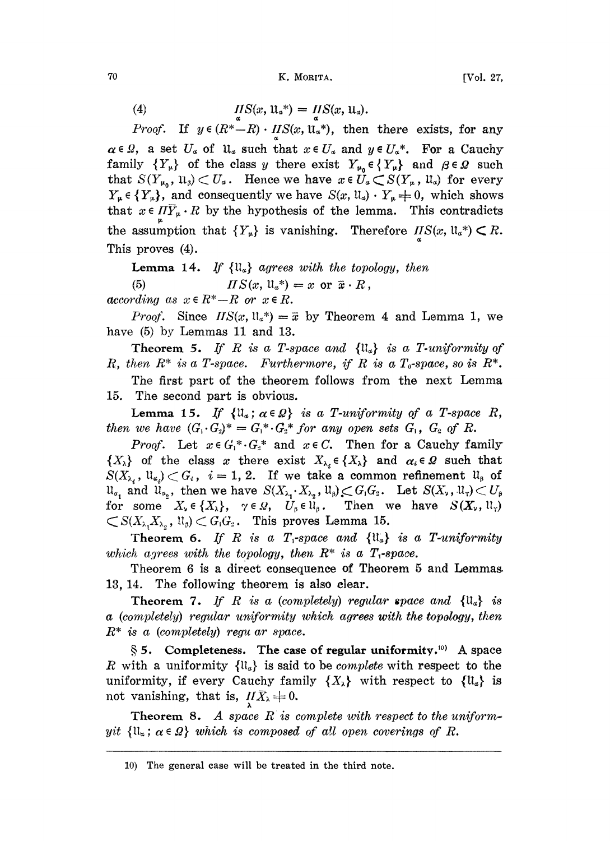70 K. MORITA. [Vo|. 27,

(4) 
$$
IIS(x, \mathfrak{u}_\alpha^*) = IIS(x, \mathfrak{u}_\alpha).
$$

*Proof.* If  $y \in (R^* - R) \cdot HS(x, \mathbf{u}_a^*)$ , then there exists, for any  $\alpha \in \Omega$ , a set  $U_{\alpha}$  of  $\mathfrak{u}_{\alpha}$  such that  $x \in U_{\alpha}$  and  $y \in U_{\alpha}^{*}$ . For a Cauchy family  $\{Y_{\mu}\}\$  of the class y there exist  $Y_{\mu_0} \in \{Y_{\mu}\}\$  and  $\beta \in \mathcal{Q}$  such that  $S(Y_{\mu_0}, \mathfrak{u}_\beta) \subset U_\alpha$ . Hence we have  $x \in U_\alpha \subset S(Y_\mu, \mathfrak{u}_\alpha)$  for every  $Y_{\mu} \in \{Y_{\mu}\}\$ , and consequently we have  $S(x, \mathfrak{U}_{\alpha}) \cdot Y_{\mu} \neq 0$ , which shows. that  $x \in \Pi \overline{Y}_{\mu} \cdot R$  by the hypothesis of the lemma. This contradicts the assumption that  ${Y_{\mu}}$  is vanishing. Therefore  $\text{IIS}(x, \mathfrak{u}_{\alpha}^*) \subset R$ . This proves (4).

**Lemma 14.** If  $\{\mathfrak{U}_\alpha\}$  agrees with the topology, then (5)  $I \cap S(x, \mathfrak{U}_a^*) = x \text{ or } \overline{x} \cdot R,$ 

according as  $x \in R^* - R$  or  $x \in R$ .

*Proof.* Since  $HS(x, 1/x^*) = \bar{x}$  by Theorem 4 and Lemma 1, we have (5) by Lemmas 11 and 13.

Theorem 5. If R is a T-space and  $\{ll_a\}$  is a T-uniformity of R, then  $R^*$  is a T-space. Furthermore, if R is a T<sub>0</sub>-space, so is  $R^*$ .

The first part of the theorem follows from the next Lemma 15. The second part is obvious.

Lemma 15. If  $\{\mathfrak{U}_\alpha\,;\,\alpha\in\Omega\}$  is a T-uniformity of a T-space R, then we have  $(G_1 \cdot G_2)^* = G_1^* \cdot G_2^*$  for any open sets  $G_1$ ,  $G_2$  of R.

*Proof.* Let  $x \in G_1^* G_2^*$  and  $x \in C$ . Then for a Cauchy family  $\{X_{\lambda}\}\$  of the class x there exist  $X_{\lambda_i} \in \{X_{\lambda}\}\$  and  $\alpha_i \in \Omega$  such that  $S(X_{\lambda_i}, \mathfrak{U}_{\alpha_i}) \subset G_i$ ,  $i=1, 2$ . If we take a common refinement  $\mathfrak{U}_{\beta}$  of  $u_{\alpha_1}$  and  $u_{\alpha_2}$ , then we have  $S(X_{\lambda_1} \cdot X_{\lambda_2}, u_{\beta}) \subset G_1G_2$ . Let  $S(X_{\nu}, u_{\nu}) \subset U_{\beta}$ for some  $X_{\nu} \in \{X_{\lambda}\}\,$ ,  $\gamma \in \mathcal{Q}$ ,  $U_{\beta} \in \mathfrak{U}_{\beta}$ . Then we have  $S(X_{\nu}, \mathfrak{U}_{\nu})$  $\subset S(X_{\lambda_1},X_{\lambda_2},\mathfrak{U}_{\beta}) \subset G_1G_2$ . This proves Lemma 15.

Theorem 6. If R is a  $T_1$ -space and  $\{ll_a\}$  is a T-uniformity which agrees with the topology, then  $R^*$  is a T<sub>1</sub>-space.

Theorem 6 is a direct consequence of Theorem 5 and Lemmas. 13, 14. The following theorem is also clear.

**Theorem 7.** If R is a (completely) regular space and  $\{u_{\alpha}\}\$  is a (completely) regular uniformity which agrees with the topology, then  $R^*$  is a (completely) regu ar space.

 $\S 5.$  Completeness. The case of regular uniformity.<sup>10</sup> A space R with a uniformity  $\{ll_a\}$  is said to be *complete* with respect to the uniformity, if every Cauchy family  $\{X_{\lambda}\}\$  with respect to  $\{U_{\alpha}\}\$  is not vanishing, that is,  $\overline{H}\overline{X}_\lambda = 0$ .

**Theorem 8.** A space  $R$  is complete with respect to the uniformyit  $\{u_\alpha;\alpha\in\Omega\}$  which is composed of all open coverings of R.

<sup>10)</sup> The general case will be treated in the third note.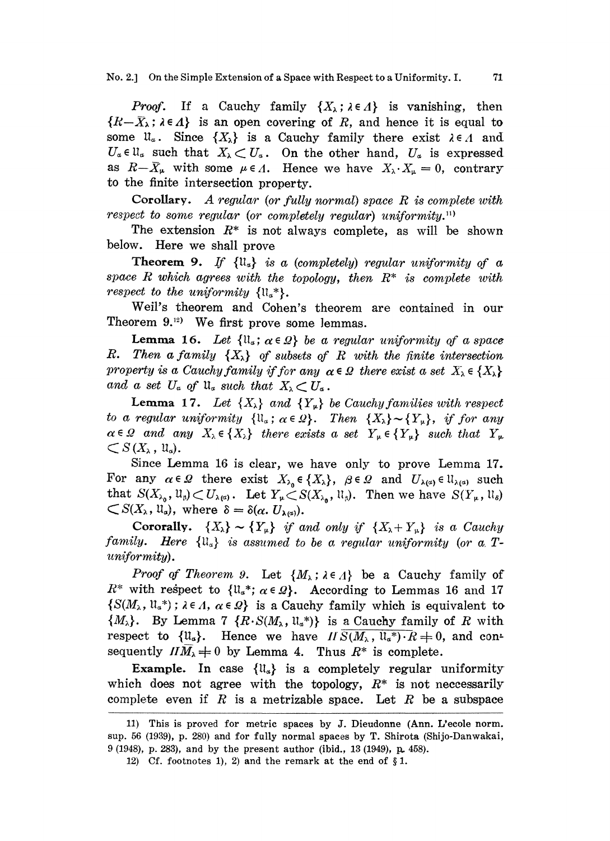No. 2.] On the Simple Extension of a Space with Respect to a Uniformity. I. 71

**Proof.** If a Cauchy family  $\{X_{\lambda} : \lambda \in \Lambda\}$  is vanishing, then  $\{R-\bar{X}_\lambda;\lambda\in\Lambda\}$  is an open covering of R, and hence it is equal to some  $\mathfrak{u}_\alpha$ . Since  $\{X_\lambda\}$  is a Cauchy family there exist  $\lambda \in \Lambda$  and  $U_a \in \mathfrak{U}_a$  such that  $X_{\lambda} \subset U_a$ . On the other hand,  $U_a$  is expressed. as  $R-\bar{X}_{\mu}$  with some  $\mu \in \Lambda$ . Hence we have  $X_{\lambda} \cdot X_{\mu} = 0$ , contrary to the finite intersection property.

Corollary. A regular (or fully normal) space R is complete with respect to some regular (or completely regular) uniformity.<sup>11)</sup>

The extension  $R^*$  is not always complete, as will be shown below. Here we shall prove

**Theorem 9.** If  $\{u_{\alpha}\}\$ is a (completely) regular uniformity of a space  $R$  which agrees with the topology, then  $R^*$  is complete with respect to the uniformity  $\{\mathfrak{m}_a^*\}.$ 

Well's theorem and Cohen's theorem are contained in our Theorem  $9.^{\scriptscriptstyle{12}}$  We first prove some lemmas.

**Lemma 16.** Let  $\{ll_a: a \in \Omega\}$  be a regular uniformity of a space R. Then a family  $\{X_{\lambda}\}\$  of subsets of R with the finite intersection. property is a Cauchy family if for any  $\alpha \in \Omega$  there exist a set  $X_{\lambda} \in \{X_{\lambda}\}\$ and a set  $U_{\alpha}$  of  $\mathfrak{u}_{\alpha}$  such that  $X_{\lambda} \subset U_{\alpha}$ .

**Lemma 17.** Let  $\{X_{\lambda}\}\$ and  $\{Y_{\mu}\}\$ be Cauchy families with respect to a regular uniformity  $\{1\mathfrak{l}_a : \alpha \in \Omega\}$ . Then  $\{X_\lambda\} \sim \{Y_\mu\}$ , if for any  $\alpha \in \Omega$  and any  $X_{\lambda} \in \{X_{\lambda}\}\$  there exists a set  $Y_{\mu} \in \{Y_{\mu}\}\$  such that  $Y_{\mu}$  $\subset S(X_{\lambda}, \mathfrak{u}_{\alpha}).$ 

Since Lemma 16 is clear, we have only to prove Lemma 17. For any  $\alpha \in \Omega$  there exist  $X_{\lambda_0} \in \{X_{\lambda}\}\$ ,  $\beta \in \Omega$  and  $U_{\lambda(\alpha)} \in \mathfrak{U}_{\lambda(\alpha)}$  such that  $S(X_{\lambda_0}, \mathfrak{U}_{\beta}) \subset U_{\lambda(\alpha)}$ . Let  $Y_{\mu} \subset S(X_{\lambda_0}, \mathfrak{U}_{\beta})$ . Then we have  $S(Y_{\mu}, \mathfrak{U}_{\delta})$  $\subset S(X_{\lambda}, \mathfrak{u}_{\alpha})$ , where  $\delta = \delta(\alpha, U_{\lambda(\alpha)})$ .

Cororally.  $\{X_{\lambda}\}\sim \{Y_{\mu}\}\$  if and only if  $\{X_{\lambda}+Y_{\mu}\}\$  is a Cauchy family. Here  ${u_{\alpha}}$  is assumed to be a regular uniformity (or a Tuniformity).

*Proof of Theorem 9.* Let  $\{M_{\lambda} : \lambda \in \Lambda\}$  be a Cauchy family of  $R^*$  with respect to  $\{u_*^*; \alpha \in \Omega\}$ . According to Lemmas 16 and 17  $\{S(M_\lambda, \mathfrak{U}_\alpha^*): \lambda \in \Lambda, \alpha \in \Omega\}$  is a Cauchy family which is equivalent to  $\{M_{\lambda}\}.$  By Lemma 7  $\{R\cdot S(M_{\lambda}, \mathfrak{u}_{\alpha}^*)\}$  is a Cauchy family of R with. respect to  $\{\mathfrak{U}_\alpha\}$ . Hence we have  $IIS(M_\lambda, \mathfrak{U}_\alpha^*)\cdot R\neq 0$ , and consequently  $HM_{\lambda} \neq 0$  by Lemma 4. Thus  $R^*$  is complete.

Example. In case  $\{u_{\alpha}\}\$ is a completely regular uniformity which does not agree with the topology,  $R^*$  is not neccessarily complete even if  $R$  is a metrizable space. Let  $R$  be a subspace

<sup>11)</sup> This is proved for metric spaces by J. Dieudonne (Ann. L'ecole norm. sup. 56 (1939), p. 280) and for fully normal spaces by T. Shirota (Shijo-Danwakai, 9 (1948), p. 283), and by the present author (ibid., 13 (1949), p. 458).

<sup>12)</sup> Cf. footnotes 1, 2) and the remark at the end of  $§ 1$ .